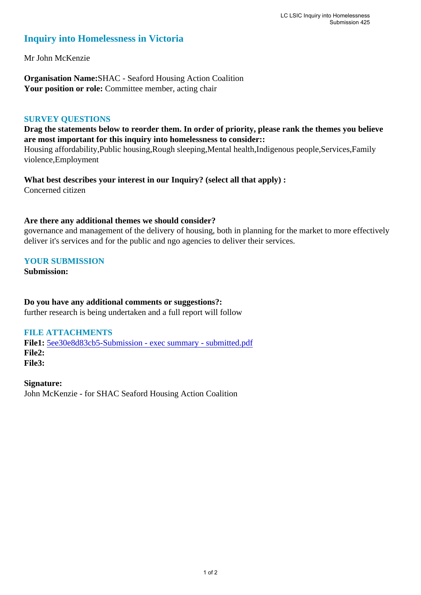# **Inquiry into Homelessness in Victoria**

Mr John McKenzie

**Organisation Name:**SHAC - Seaford Housing Action Coalition Your position or role: Committee member, acting chair

### **SURVEY QUESTIONS**

**Drag the statements below to reorder them. In order of priority, please rank the themes you believe are most important for this inquiry into homelessness to consider::** 

Housing affordability,Public housing,Rough sleeping,Mental health,Indigenous people,Services,Family violence,Employment

**What best describes your interest in our Inquiry? (select all that apply) :**  Concerned citizen

## **Are there any additional themes we should consider?**

governance and management of the delivery of housing, both in planning for the market to more effectively deliver it's services and for the public and ngo agencies to deliver their services.

## **YOUR SUBMISSION**

**Submission:** 

**Do you have any additional comments or suggestions?:** 

further research is being undertaken and a full report will follow

### **FILE ATTACHMENTS**

**File1:** 5ee30e8d83cb5-Submission - exec summary - submitted.pdf **File2: File3:** 

**Signature:** John McKenzie - for SHAC Seaford Housing Action Coalition